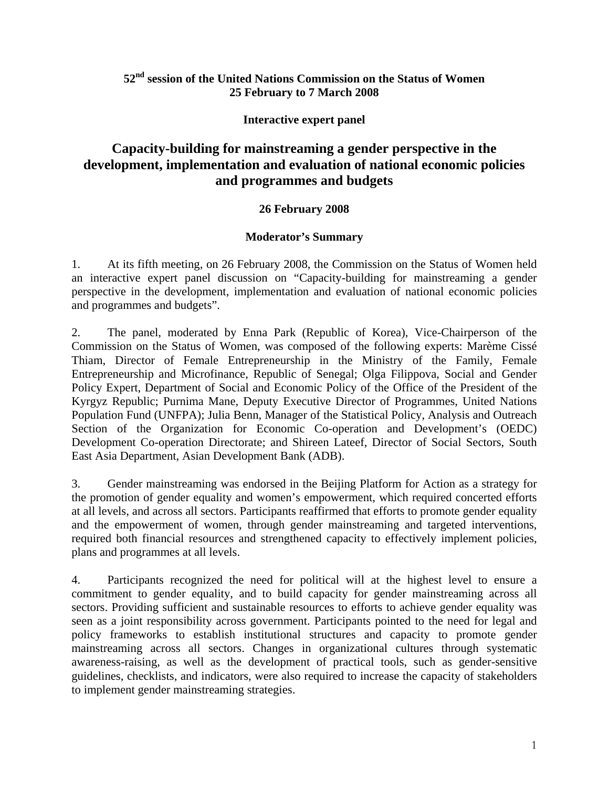## **52nd session of the United Nations Commission on the Status of Women 25 February to 7 March 2008**

## **Interactive expert panel**

# **Capacity-building for mainstreaming a gender perspective in the development, implementation and evaluation of national economic policies and programmes and budgets**

## **26 February 2008**

## **Moderator's Summary**

1. At its fifth meeting, on 26 February 2008, the Commission on the Status of Women held an interactive expert panel discussion on "Capacity-building for mainstreaming a gender perspective in the development, implementation and evaluation of national economic policies and programmes and budgets".

2. The panel, moderated by Enna Park (Republic of Korea), Vice-Chairperson of the Commission on the Status of Women, was composed of the following experts: Marème Cissé Thiam, Director of Female Entrepreneurship in the Ministry of the Family, Female Entrepreneurship and Microfinance, Republic of Senegal; Olga Filippova, Social and Gender Policy Expert, Department of Social and Economic Policy of the Office of the President of the Kyrgyz Republic; Purnima Mane, Deputy Executive Director of Programmes, United Nations Population Fund (UNFPA); Julia Benn, Manager of the Statistical Policy, Analysis and Outreach Section of the Organization for Economic Co-operation and Development's (OEDC) Development Co-operation Directorate; and Shireen Lateef, Director of Social Sectors, South East Asia Department, Asian Development Bank (ADB).

3. Gender mainstreaming was endorsed in the Beijing Platform for Action as a strategy for the promotion of gender equality and women's empowerment, which required concerted efforts at all levels, and across all sectors. Participants reaffirmed that efforts to promote gender equality and the empowerment of women, through gender mainstreaming and targeted interventions, required both financial resources and strengthened capacity to effectively implement policies, plans and programmes at all levels.

4. Participants recognized the need for political will at the highest level to ensure a commitment to gender equality, and to build capacity for gender mainstreaming across all sectors. Providing sufficient and sustainable resources to efforts to achieve gender equality was seen as a joint responsibility across government. Participants pointed to the need for legal and policy frameworks to establish institutional structures and capacity to promote gender mainstreaming across all sectors. Changes in organizational cultures through systematic awareness-raising, as well as the development of practical tools, such as gender-sensitive guidelines, checklists, and indicators, were also required to increase the capacity of stakeholders to implement gender mainstreaming strategies.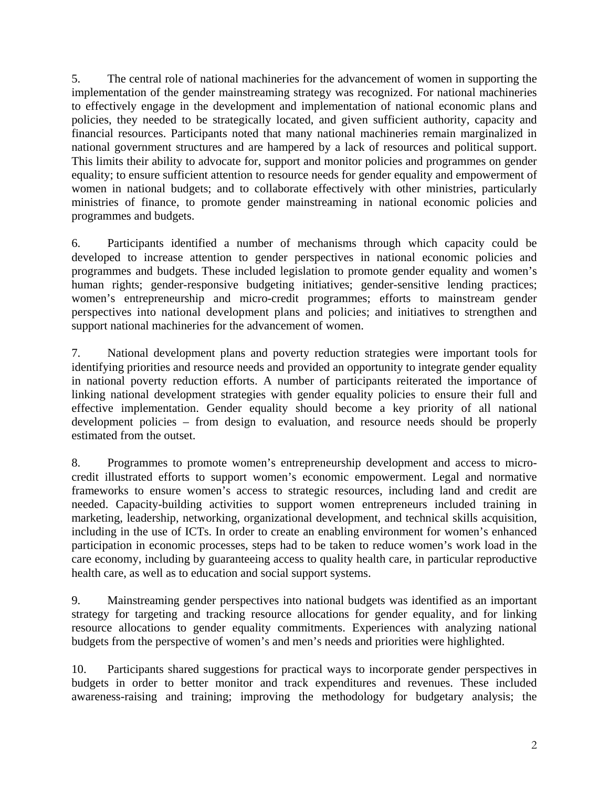5. The central role of national machineries for the advancement of women in supporting the implementation of the gender mainstreaming strategy was recognized. For national machineries to effectively engage in the development and implementation of national economic plans and policies, they needed to be strategically located, and given sufficient authority, capacity and financial resources. Participants noted that many national machineries remain marginalized in national government structures and are hampered by a lack of resources and political support. This limits their ability to advocate for, support and monitor policies and programmes on gender equality; to ensure sufficient attention to resource needs for gender equality and empowerment of women in national budgets; and to collaborate effectively with other ministries, particularly ministries of finance, to promote gender mainstreaming in national economic policies and programmes and budgets.

6. Participants identified a number of mechanisms through which capacity could be developed to increase attention to gender perspectives in national economic policies and programmes and budgets. These included legislation to promote gender equality and women's human rights; gender-responsive budgeting initiatives; gender-sensitive lending practices; women's entrepreneurship and micro-credit programmes; efforts to mainstream gender perspectives into national development plans and policies; and initiatives to strengthen and support national machineries for the advancement of women.

7. National development plans and poverty reduction strategies were important tools for identifying priorities and resource needs and provided an opportunity to integrate gender equality in national poverty reduction efforts. A number of participants reiterated the importance of linking national development strategies with gender equality policies to ensure their full and effective implementation. Gender equality should become a key priority of all national development policies – from design to evaluation, and resource needs should be properly estimated from the outset.

8. Programmes to promote women's entrepreneurship development and access to microcredit illustrated efforts to support women's economic empowerment. Legal and normative frameworks to ensure women's access to strategic resources, including land and credit are needed. Capacity-building activities to support women entrepreneurs included training in marketing, leadership, networking, organizational development, and technical skills acquisition, including in the use of ICTs. In order to create an enabling environment for women's enhanced participation in economic processes, steps had to be taken to reduce women's work load in the care economy, including by guaranteeing access to quality health care, in particular reproductive health care, as well as to education and social support systems.

9. Mainstreaming gender perspectives into national budgets was identified as an important strategy for targeting and tracking resource allocations for gender equality, and for linking resource allocations to gender equality commitments. Experiences with analyzing national budgets from the perspective of women's and men's needs and priorities were highlighted.

10. Participants shared suggestions for practical ways to incorporate gender perspectives in budgets in order to better monitor and track expenditures and revenues. These included awareness-raising and training; improving the methodology for budgetary analysis; the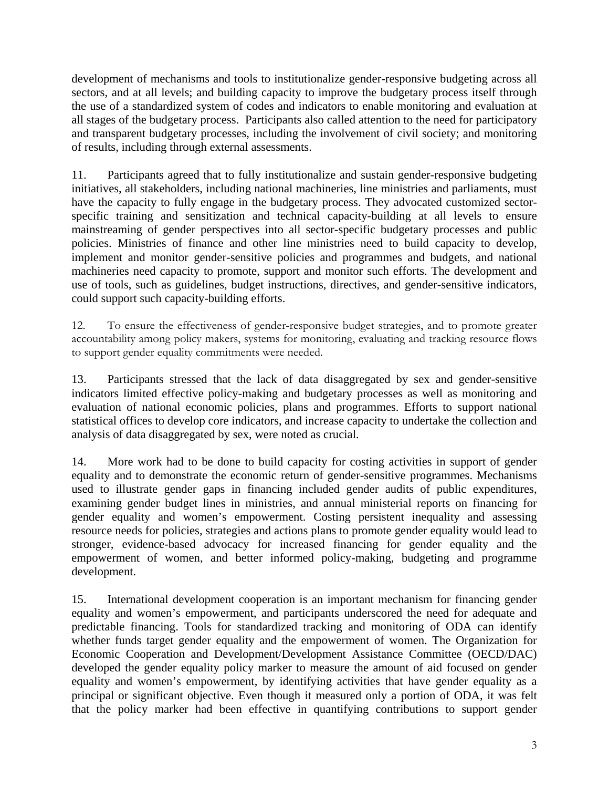development of mechanisms and tools to institutionalize gender-responsive budgeting across all sectors, and at all levels; and building capacity to improve the budgetary process itself through the use of a standardized system of codes and indicators to enable monitoring and evaluation at all stages of the budgetary process. Participants also called attention to the need for participatory and transparent budgetary processes, including the involvement of civil society; and monitoring of results, including through external assessments.

11. Participants agreed that to fully institutionalize and sustain gender-responsive budgeting initiatives, all stakeholders, including national machineries, line ministries and parliaments, must have the capacity to fully engage in the budgetary process. They advocated customized sectorspecific training and sensitization and technical capacity-building at all levels to ensure mainstreaming of gender perspectives into all sector-specific budgetary processes and public policies. Ministries of finance and other line ministries need to build capacity to develop, implement and monitor gender-sensitive policies and programmes and budgets, and national machineries need capacity to promote, support and monitor such efforts. The development and use of tools, such as guidelines, budget instructions, directives, and gender-sensitive indicators, could support such capacity-building efforts.

12. To ensure the effectiveness of gender-responsive budget strategies, and to promote greater accountability among policy makers, systems for monitoring, evaluating and tracking resource flows to support gender equality commitments were needed.

13. Participants stressed that the lack of data disaggregated by sex and gender-sensitive indicators limited effective policy-making and budgetary processes as well as monitoring and evaluation of national economic policies, plans and programmes. Efforts to support national statistical offices to develop core indicators, and increase capacity to undertake the collection and analysis of data disaggregated by sex, were noted as crucial.

14. More work had to be done to build capacity for costing activities in support of gender equality and to demonstrate the economic return of gender-sensitive programmes. Mechanisms used to illustrate gender gaps in financing included gender audits of public expenditures, examining gender budget lines in ministries, and annual ministerial reports on financing for gender equality and women's empowerment. Costing persistent inequality and assessing resource needs for policies, strategies and actions plans to promote gender equality would lead to stronger, evidence-based advocacy for increased financing for gender equality and the empowerment of women, and better informed policy-making, budgeting and programme development.

15. International development cooperation is an important mechanism for financing gender equality and women's empowerment, and participants underscored the need for adequate and predictable financing. Tools for standardized tracking and monitoring of ODA can identify whether funds target gender equality and the empowerment of women. The Organization for Economic Cooperation and Development/Development Assistance Committee (OECD/DAC) developed the gender equality policy marker to measure the amount of aid focused on gender equality and women's empowerment, by identifying activities that have gender equality as a principal or significant objective. Even though it measured only a portion of ODA, it was felt that the policy marker had been effective in quantifying contributions to support gender